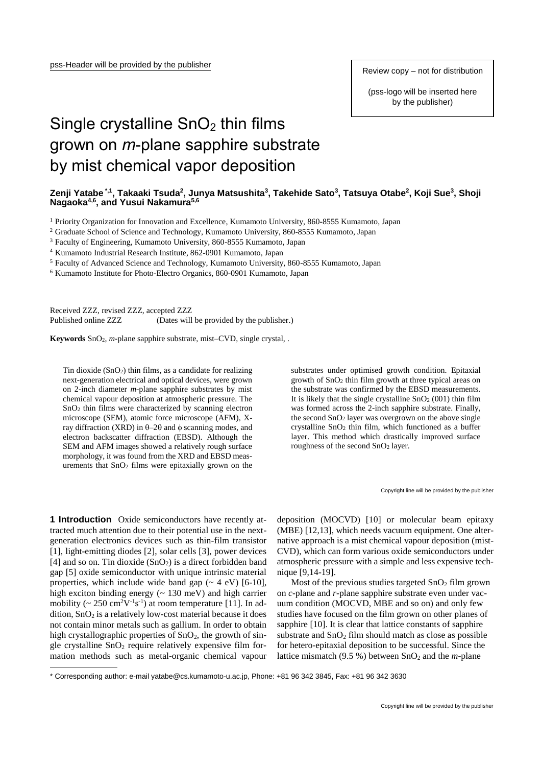Review copy – not for distribution

(pss-logo will be inserted here by the publisher)

## Single crystalline  $SnO<sub>2</sub>$  thin films grown on *m*-plane sapphire substrate by mist chemical vapor deposition

## **Zenji Yatabe \*,1 , Takaaki Tsuda<sup>2</sup> , Junya Matsushita<sup>3</sup> , Takehide Sato<sup>3</sup> , Tatsuya Otabe<sup>2</sup> , Koji Sue<sup>3</sup> , Shoji Nagaoka4,6 , and Yusui Nakamura5,6**

<sup>1</sup> Priority Organization for Innovation and Excellence, Kumamoto University, 860-8555 Kumamoto, Japan

<sup>2</sup> Graduate School of Science and Technology, Kumamoto University, 860-8555 Kumamoto, Japan

<sup>3</sup> Faculty of Engineering, Kumamoto University, 860-8555 Kumamoto, Japan

<sup>4</sup> Kumamoto Industrial Research Institute, 862-0901 Kumamoto, Japan

<sup>5</sup> Faculty of Advanced Science and Technology, Kumamoto University, 860-8555 Kumamoto, Japan

<sup>6</sup> Kumamoto Institute for Photo-Electro Organics, 860-0901 Kumamoto, Japan

Received ZZZ, revised ZZZ, accepted ZZZ

Published online ZZZ (Dates will be provided by the publisher.)

**Keywords** SnO2, *m*-plane sapphire substrate, mist–CVD, single crystal, .

Tin dioxide  $(SnO<sub>2</sub>)$  thin films, as a candidate for realizing next-generation electrical and optical devices, were grown on 2-inch diameter *m*-plane sapphire substrates by mist chemical vapour deposition at atmospheric pressure. The SnO<sup>2</sup> thin films were characterized by scanning electron microscope (SEM), atomic force microscope (AFM), Xray diffraction (XRD) in  $\theta$ -2 $\theta$  and  $\phi$  scanning modes, and electron backscatter diffraction (EBSD). Although the SEM and AFM images showed a relatively rough surface morphology, it was found from the XRD and EBSD measurements that SnO<sup>2</sup> films were epitaxially grown on the substrates under optimised growth condition. Epitaxial growth of SnO<sup>2</sup> thin film growth at three typical areas on the substrate was confirmed by the EBSD measurements. It is likely that the single crystalline  $SnO<sub>2</sub>(001)$  thin film was formed across the 2-inch sapphire substrate. Finally, the second SnO<sup>2</sup> layer was overgrown on the above single crystalline SnO<sup>2</sup> thin film, which functioned as a buffer layer. This method which drastically improved surface roughness of the second SnO<sup>2</sup> layer.

Copyright line will be provided by the publisher

**1 Introduction** Oxide semiconductors have recently attracted much attention due to their potential use in the nextgeneration electronics devices such as thin-film transistor [1], light-emitting diodes [2], solar cells [3], power devices [4] and so on. Tin dioxide  $(SnO<sub>2</sub>)$  is a direct forbidden band gap [5] oxide semiconductor with unique intrinsic material properties, which include wide band gap  $({\sim 4 \text{ eV}})$  [6-10], high exciton binding energy (~ 130 meV) and high carrier mobility ( $\sim 250 \text{ cm}^2 \text{V}^{-1} \text{s}^{-1}$ ) at room temperature [11]. In addition,  $SnO<sub>2</sub>$  is a relatively low-cost material because it does not contain minor metals such as gallium. In order to obtain high crystallographic properties of  $SnO<sub>2</sub>$ , the growth of single crystalline  $SnO<sub>2</sub>$  require relatively expensive film formation methods such as metal-organic chemical vapour

1

deposition (MOCVD) [10] or molecular beam epitaxy (MBE) [12,13], which needs vacuum equipment. One alternative approach is a mist chemical vapour deposition (mist-CVD), which can form various oxide semiconductors under atmospheric pressure with a simple and less expensive technique [9,14-19].

Most of the previous studies targeted  $SnO<sub>2</sub>$  film grown on *c*-plane and *r*-plane sapphire substrate even under vacuum condition (MOCVD, MBE and so on) and only few studies have focused on the film grown on other planes of sapphire [10]. It is clear that lattice constants of sapphire substrate and  $SnO<sub>2</sub>$  film should match as close as possible for hetero-epitaxial deposition to be successful. Since the lattice mismatch  $(9.5 %)$  between  $SnO<sub>2</sub>$  and the *m*-plane

<sup>\*</sup> Corresponding author: e-mail yatabe@cs.kumamoto-u.ac.jp, Phone: +81 96 342 3845, Fax: +81 96 342 3630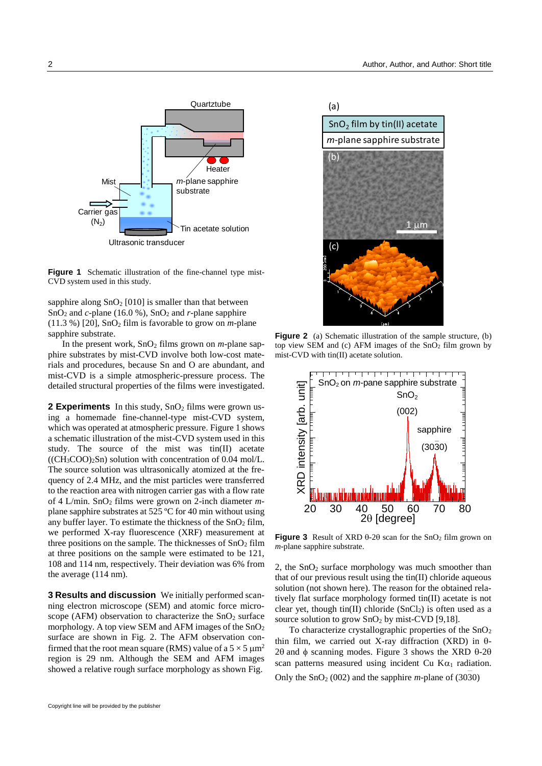

**Figure 1** Schematic illustration of the fine-channel type mist-CVD system used in this study.

sapphire along  $SnO<sub>2</sub>$  [010] is smaller than that between  $SnO<sub>2</sub>$  and *c*-plane (16.0 %),  $SnO<sub>2</sub>$  and *r*-plane sapphire (11.3 %) [20], SnO<sup>2</sup> film is favorable to grow on *m*-plane sapphire substrate.

In the present work,  $SnO<sub>2</sub>$  films grown on *m*-plane sapphire substrates by mist-CVD involve both low-cost materials and procedures, because Sn and O are abundant, and mist-CVD is a simple atmospheric-pressure process. The detailed structural properties of the films were investigated.

**2 Experiments** In this study, SnO<sub>2</sub> films were grown using a homemade fine-channel-type mist-CVD system, which was operated at atmospheric pressure. Figure 1 shows a schematic illustration of the mist-CVD system used in this study. The source of the mist was tin(II) acetate  $((CH<sub>3</sub>COO)<sub>2</sub>Sn)$  solution with concentration of 0.04 mol/L. The source solution was ultrasonically atomized at the frequency of 2.4 MHz, and the mist particles were transferred to the reaction area with nitrogen carrier gas with a flow rate of 4 L/min. SnO<sup>2</sup> films were grown on 2-inch diameter *m*plane sapphire substrates at 525 ºC for 40 min without using any buffer layer. To estimate the thickness of the  $SnO<sub>2</sub>$  film, we performed X-ray fluorescence (XRF) measurement at three positions on the sample. The thicknesses of  $SnO<sub>2</sub>$  film at three positions on the sample were estimated to be 121, 108 and 114 nm, respectively. Their deviation was 6% from the average (114 nm).

**3 Results and discussion** We initially performed scanning electron microscope (SEM) and atomic force microscope (AFM) observation to characterize the  $SnO<sub>2</sub>$  surface morphology. A top view SEM and AFM images of the  $SnO<sub>2</sub>$ surface are shown in Fig. 2. The AFM observation confirmed that the root mean square (RMS) value of a  $5 \times 5 \mu m^2$ region is 29 nm. Although the SEM and AFM images showed a relative rough surface morphology as shown Fig.



**Figure 2** (a) Schematic illustration of the sample structure, (b) top view SEM and (c) AFM images of the SnO<sup>2</sup> film grown by mist-CVD with tin(II) acetate solution.



**Figure 3** Result of XRD  $\theta$ -2 $\theta$  scan for the SnO<sub>2</sub> film grown on *m*-plane sapphire substrate.

2, the  $SnO<sub>2</sub>$  surface morphology was much smoother than that of our previous result using the tin(II) chloride aqueous solution (not shown here). The reason for the obtained relatively flat surface morphology formed tin(II) acetate is not clear yet, though tin(II) chloride  $(SnCl<sub>2</sub>)$  is often used as a source solution to grow  $SnO<sub>2</sub>$  by mist-CVD [9,18].

To characterize crystallographic properties of the SnO<sub>2</sub> thin film, we carried out X-ray diffraction (XRD) in  $\theta$ - $2\theta$  and  $\phi$  scanning modes. Figure 3 shows the XRD  $\theta$ -2 $\theta$ scan patterns measured using incident Cu  $K\alpha_1$  radiation. Only the  $SnO<sub>2</sub>$  (002) and the sapphire *m*-plane of (3030) —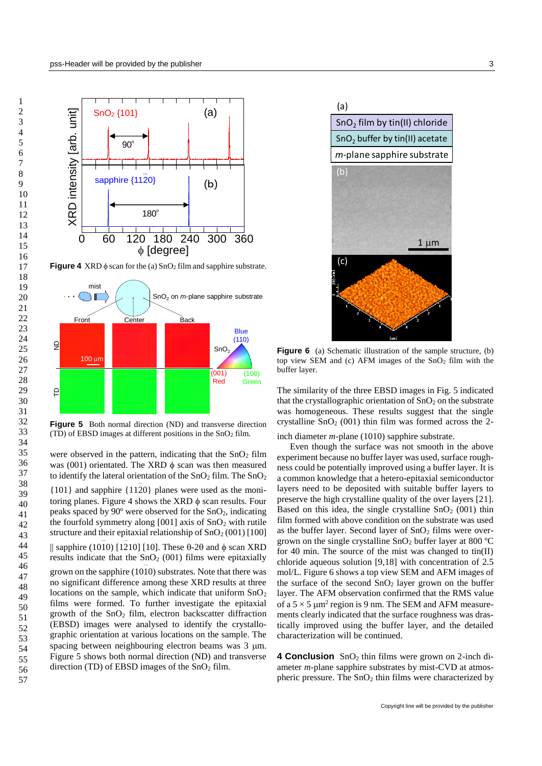

**Figure 4** XRD  $\phi$  scan for the (a)  $\text{SnO}_2$  film and sapphire substrate.



**Figure 5** Both normal direction (ND) and transverse direction (TD) of EBSD images at different positions in the  $SnO<sub>2</sub>$  film.

were observed in the pattern, indicating that the  $SnO<sub>2</sub>$  film was (001) orientated. The XRD  $\phi$  scan was then measured to identify the lateral orientation of the  $SnO<sub>2</sub>$  film. The  $SnO<sub>2</sub>$ 

{101} and sapphire {112 0} planes were used as the moni- toring planes. Figure 4 shows the XRD  $\phi$  scan results. Four peaks spaced by 90º were observed for the SnO2, indicating the fourfold symmetry along  $[001]$  axis of  $SnO<sub>2</sub>$  with rutile structure and their epitaxial relationship of  $SnO<sub>2</sub>(001)$  [100] || sapphire (1010) [1210] [10]. These  $\theta$ -2 $\theta$  and  $\phi$  scan XRD results indicate that the  $SnO<sub>2</sub>$  (001) films were epitaxially grown on the sapphire (1010) substrates. Note that there was no significant difference among these XRD results at three locations on the sample, which indicate that uniform  $SnO<sub>2</sub>$ films were formed. To further investigate the epitaxial growth of the  $SnO<sub>2</sub>$  film, electron backscatter diffraction (EBSD) images were analysed to identify the crystallographic orientation at various locations on the sample. The spacing between neighbouring electron beams was 3  $\mu$ m. Figure 5 shows both normal direction (ND) and transverse direction (TD) of EBSD images of the  $SnO<sub>2</sub>$  film.



**Figure 6** (a) Schematic illustration of the sample structure, (b) top view SEM and (c) AFM images of the SnO<sup>2</sup> film with the buffer layer.

The similarity of the three EBSD images in Fig. 5 indicated that the crystallographic orientation of  $SnO<sub>2</sub>$  on the substrate was homogeneous. These results suggest that the single crystalline  $SnO<sub>2</sub>$  (001) thin film was formed across the 2-—

inch diameter *m*-plane (101 0) sapphire substrate.

Even though the surface was not smooth in the above experiment because no buffer layer was used, surface roughness could be potentially improved using a buffer layer. It is a common knowledge that a hetero-epitaxial semiconductor layers need to be deposited with suitable buffer layers to preserve the high crystalline quality of the over layers [21]. Based on this idea, the single crystalline  $SnO<sub>2</sub>$  (001) thin film formed with above condition on the substrate was used as the buffer layer. Second layer of  $SnO<sub>2</sub>$  films were overgrown on the single crystalline  $SnO<sub>2</sub>$  buffer layer at 800 °C for 40 min. The source of the mist was changed to  $\text{tin(II)}$ chloride aqueous solution [9,18] with concentration of 2.5 mol/L. Figure 6 shows a top view SEM and AFM images of the surface of the second  $SnO<sub>2</sub>$  layer grown on the buffer layer. The AFM observation confirmed that the RMS value of a  $5 \times 5 \mu m^2$  region is 9 nm. The SEM and AFM measurements clearly indicated that the surface roughness was drastically improved using the buffer layer, and the detailed characterization will be continued.

**4 Conclusion** SnO<sub>2</sub> thin films were grown on 2-inch diameter *m*-plane sapphire substrates by mist-CVD at atmospheric pressure. The  $SnO<sub>2</sub>$  thin films were characterized by